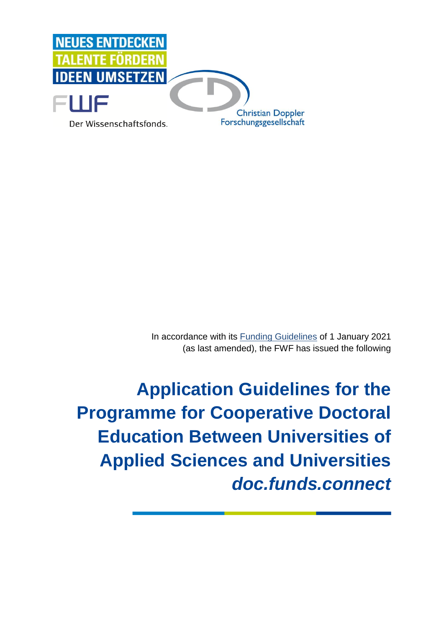

In accordance with its [Funding Guidelines](https://www.fwf.ac.at/en/research-funding/decision-making-procedure-evaluation/funding-guidelines/) of 1 January 2021 (as last amended), the FWF has issued the following

**Application Guidelines for the Programme for Cooperative Doctoral Education Between Universities of Applied Sciences and Universities**  *doc.funds.connect*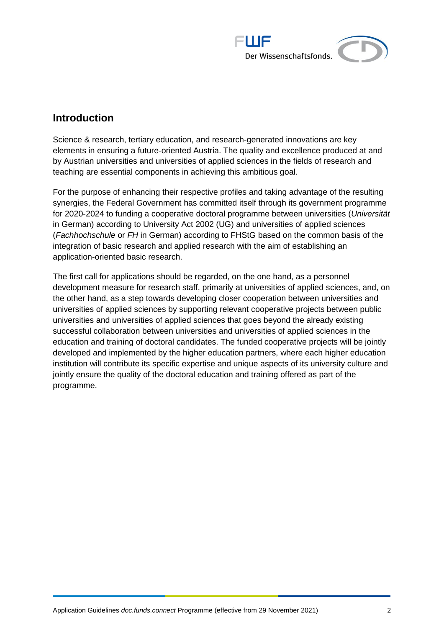

## **Introduction**

Science & research, tertiary education, and research-generated innovations are key elements in ensuring a future-oriented Austria. The quality and excellence produced at and by Austrian universities and universities of applied sciences in the fields of research and teaching are essential components in achieving this ambitious goal.

For the purpose of enhancing their respective profiles and taking advantage of the resulting synergies, the Federal Government has committed itself through its government programme for 2020-2024 to funding a cooperative doctoral programme between universities (*Universität*  in German) according to University Act 2002 (UG) and universities of applied sciences (*Fachhochschule* or *FH* in German) according to FHStG based on the common basis of the integration of basic research and applied research with the aim of establishing an application-oriented basic research.

The first call for applications should be regarded, on the one hand, as a personnel development measure for research staff, primarily at universities of applied sciences, and, on the other hand, as a step towards developing closer cooperation between universities and universities of applied sciences by supporting relevant cooperative projects between public universities and universities of applied sciences that goes beyond the already existing successful collaboration between universities and universities of applied sciences in the education and training of doctoral candidates. The funded cooperative projects will be jointly developed and implemented by the higher education partners, where each higher education institution will contribute its specific expertise and unique aspects of its university culture and jointly ensure the quality of the doctoral education and training offered as part of the programme.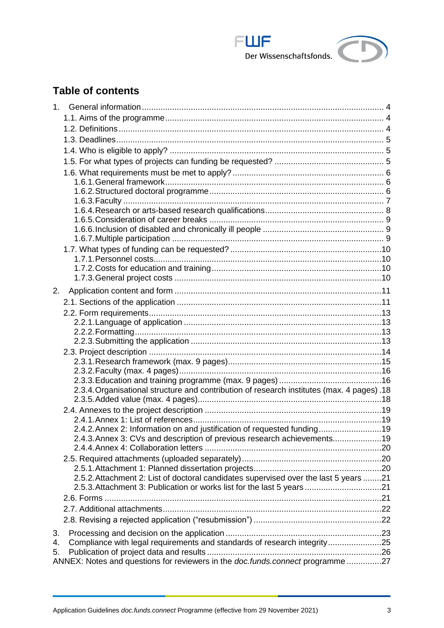

# **Table of contents**

<span id="page-2-0"></span>

| 1 <sup>1</sup> |                                                                                            |  |
|----------------|--------------------------------------------------------------------------------------------|--|
|                |                                                                                            |  |
|                |                                                                                            |  |
|                |                                                                                            |  |
|                |                                                                                            |  |
|                |                                                                                            |  |
|                |                                                                                            |  |
|                |                                                                                            |  |
|                |                                                                                            |  |
|                |                                                                                            |  |
|                |                                                                                            |  |
|                |                                                                                            |  |
|                |                                                                                            |  |
|                |                                                                                            |  |
|                |                                                                                            |  |
|                |                                                                                            |  |
|                |                                                                                            |  |
| 2.             |                                                                                            |  |
|                |                                                                                            |  |
|                |                                                                                            |  |
|                |                                                                                            |  |
|                |                                                                                            |  |
|                |                                                                                            |  |
|                |                                                                                            |  |
|                |                                                                                            |  |
|                |                                                                                            |  |
|                |                                                                                            |  |
|                | 2.3.4. Organisational structure and contribution of research institutes (max. 4 pages) .18 |  |
|                |                                                                                            |  |
|                |                                                                                            |  |
|                | 2.4.2. Annex 2: Information on and justification of requested funding19                    |  |
|                | 2.4.3. Annex 3: CVs and description of previous research achievements19                    |  |
|                |                                                                                            |  |
|                |                                                                                            |  |
|                |                                                                                            |  |
|                | 2.5.2. Attachment 2: List of doctoral candidates supervised over the last 5 years 21       |  |
|                | 2.5.3. Attachment 3: Publication or works list for the last 5 years21                      |  |
|                |                                                                                            |  |
|                |                                                                                            |  |
|                |                                                                                            |  |
| 3.             |                                                                                            |  |
| 4.             | Compliance with legal requirements and standards of research integrity25                   |  |
| 5.             |                                                                                            |  |
|                | ANNEX: Notes and questions for reviewers in the doc.funds.connect programme27              |  |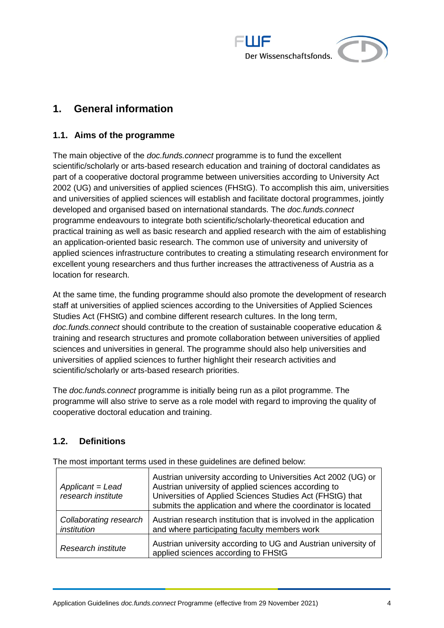

## **1. General information**

### <span id="page-3-0"></span>**1.1. Aims of the programme**

The main objective of the *doc.funds.connect* programme is to fund the excellent scientific/scholarly or arts-based research education and training of doctoral candidates as part of a cooperative doctoral programme between universities according to University Act 2002 (UG) and universities of applied sciences (FHStG). To accomplish this aim, universities and universities of applied sciences will establish and facilitate doctoral programmes, jointly developed and organised based on international standards. The *doc.funds.connect*  programme endeavours to integrate both scientific/scholarly-theoretical education and practical training as well as basic research and applied research with the aim of establishing an application-oriented basic research. The common use of university and university of applied sciences infrastructure contributes to creating a stimulating research environment for excellent young researchers and thus further increases the attractiveness of Austria as a location for research.

At the same time, the funding programme should also promote the development of research staff at universities of applied sciences according to the Universities of Applied Sciences Studies Act (FHStG) and combine different research cultures. In the long term, *doc.funds.connect* should contribute to the creation of sustainable cooperative education & training and research structures and promote collaboration between universities of applied sciences and universities in general. The programme should also help universities and universities of applied sciences to further highlight their research activities and scientific/scholarly or arts-based research priorities.

The *doc.funds.connect* programme is initially being run as a pilot programme. The programme will also strive to serve as a role model with regard to improving the quality of cooperative doctoral education and training.

## <span id="page-3-1"></span>**1.2. Definitions**

| Applicant = Lead<br>research institute | Austrian university according to Universities Act 2002 (UG) or<br>Austrian university of applied sciences according to<br>Universities of Applied Sciences Studies Act (FHStG) that<br>submits the application and where the coordinator is located |
|----------------------------------------|-----------------------------------------------------------------------------------------------------------------------------------------------------------------------------------------------------------------------------------------------------|
| Collaborating research<br>institution  | Austrian research institution that is involved in the application<br>and where participating faculty members work                                                                                                                                   |
| Research institute                     | Austrian university according to UG and Austrian university of<br>applied sciences according to FHStG                                                                                                                                               |

The most important terms used in these guidelines are defined below: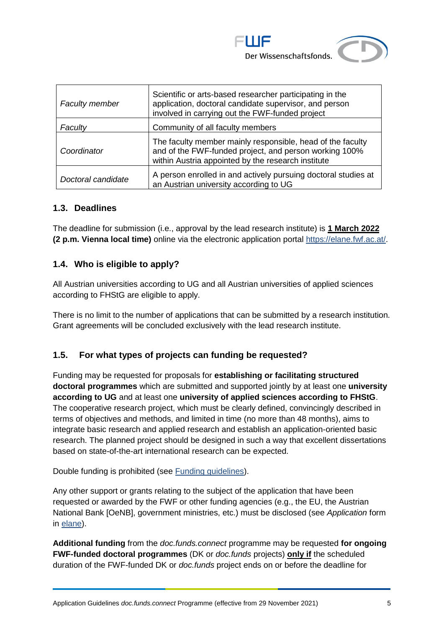

| <b>Faculty member</b> | Scientific or arts-based researcher participating in the<br>application, doctoral candidate supervisor, and person<br>involved in carrying out the FWF-funded project      |
|-----------------------|----------------------------------------------------------------------------------------------------------------------------------------------------------------------------|
| Faculty               | Community of all faculty members                                                                                                                                           |
| Coordinator           | The faculty member mainly responsible, head of the faculty<br>and of the FWF-funded project, and person working 100%<br>within Austria appointed by the research institute |
| Doctoral candidate    | A person enrolled in and actively pursuing doctoral studies at<br>an Austrian university according to UG                                                                   |

#### <span id="page-4-0"></span>**1.3. Deadlines**

The deadline for submission (i.e., approval by the lead research institute) is **1 March 2022 (2 p.m. Vienna local time)** online via the electronic application portal [https://elane.fwf.ac.at/.](https://elane.fwf.ac.at/)

#### <span id="page-4-1"></span>**1.4. Who is eligible to apply?**

All Austrian universities according to UG and all Austrian universities of applied sciences according to FHStG are eligible to apply.

There is no limit to the number of applications that can be submitted by a research institution. Grant agreements will be concluded exclusively with the lead research institute.

## <span id="page-4-2"></span>**1.5. For what types of projects can funding be requested?**

Funding may be requested for proposals for **establishing or facilitating structured doctoral programmes** which are submitted and supported jointly by at least one **university according to UG** and at least one **university of applied sciences according to FHStG**. The cooperative research project, which must be clearly defined, convincingly described in terms of objectives and methods, and limited in time (no more than 48 months), aims to integrate basic research and applied research and establish an application-oriented basic research. The planned project should be designed in such a way that excellent dissertations based on state-of-the-art international research can be expected.

Double funding is prohibited (see [Funding guidelines\)](https://www.fwf.ac.at/en/research-funding/decision-making-procedure-evaluation/funding-guidelines/).

Any other support or grants relating to the subject of the application that have been requested or awarded by the FWF or other funding agencies (e.g., the EU, the Austrian National Bank [OeNB], government ministries, etc.) must be disclosed (see *Application* form in [elane\)](https://elane.fwf.ac.at/).

**Additional funding** from the *doc.funds.connect* programme may be requested **for ongoing FWF-funded doctoral programmes** (DK or *doc.funds* projects) **only if** the scheduled duration of the FWF-funded DK or *doc.funds* project ends on or before the deadline for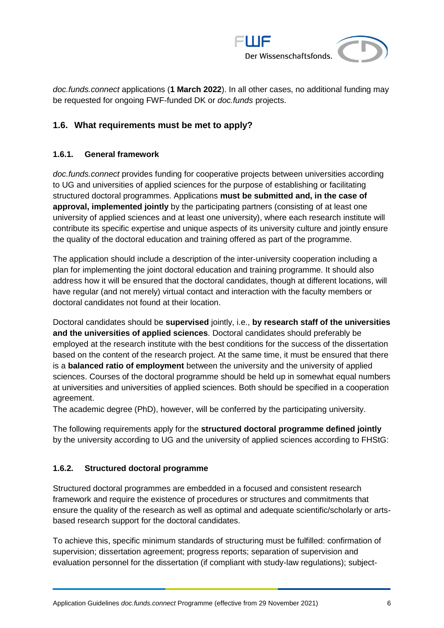

*doc.funds.connect* applications (**1 March 2022**). In all other cases, no additional funding may be requested for ongoing FWF-funded DK or *doc.funds* projects.

## <span id="page-5-1"></span><span id="page-5-0"></span>**1.6. What requirements must be met to apply?**

#### **1.6.1. General framework**

*doc.funds.connect* provides funding for cooperative projects between universities according to UG and universities of applied sciences for the purpose of establishing or facilitating structured doctoral programmes. Applications **must be submitted and, in the case of approval, implemented jointly** by the participating partners (consisting of at least one university of applied sciences and at least one university), where each research institute will contribute its specific expertise and unique aspects of its university culture and jointly ensure the quality of the doctoral education and training offered as part of the programme.

The application should include a description of the inter-university cooperation including a plan for implementing the joint doctoral education and training programme. It should also address how it will be ensured that the doctoral candidates, though at different locations, will have regular (and not merely) virtual contact and interaction with the faculty members or doctoral candidates not found at their location.

Doctoral candidates should be **supervised** jointly, i.e., **by research staff of the universities and the universities of applied sciences**. Doctoral candidates should preferably be employed at the research institute with the best conditions for the success of the dissertation based on the content of the research project. At the same time, it must be ensured that there is a **balanced ratio of employment** between the university and the university of applied sciences. Courses of the doctoral programme should be held up in somewhat equal numbers at universities and universities of applied sciences. Both should be specified in a cooperation agreement.

The academic degree (PhD), however, will be conferred by the participating university.

The following requirements apply for the **structured doctoral programme defined jointly** by the university according to UG and the university of applied sciences according to FHStG:

#### <span id="page-5-2"></span>**1.6.2. Structured doctoral programme**

Structured doctoral programmes are embedded in a focused and consistent research framework and require the existence of procedures or structures and commitments that ensure the quality of the research as well as optimal and adequate scientific/scholarly or artsbased research support for the doctoral candidates.

To achieve this, specific minimum standards of structuring must be fulfilled: confirmation of supervision; dissertation agreement; progress reports; separation of supervision and evaluation personnel for the dissertation (if compliant with study-law regulations); subject-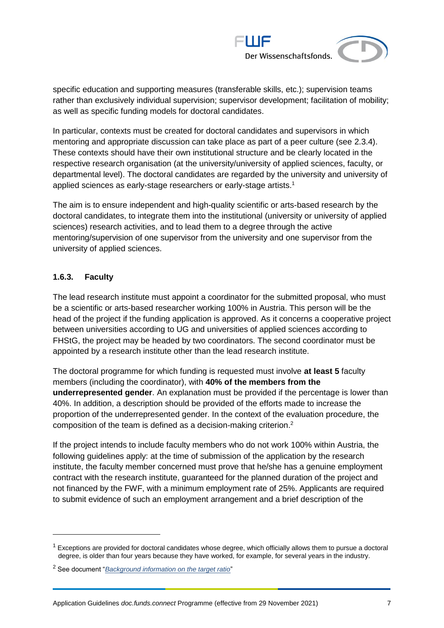

specific education and supporting measures (transferable skills, etc.); supervision teams rather than exclusively individual supervision; supervisor development; facilitation of mobility; as well as specific funding models for doctoral candidates.

In particular, contexts must be created for doctoral candidates and supervisors in which mentoring and appropriate discussion can take place as part of a peer culture (see [2.3.4\)](#page-17-0). These contexts should have their own institutional structure and be clearly located in the respective research organisation (at the university/university of applied sciences, faculty, or departmental level). The doctoral candidates are regarded by the university and university of applied sciences as early-stage researchers or early-stage artists. 1

The aim is to ensure independent and high-quality scientific or arts-based research by the doctoral candidates, to integrate them into the institutional (university or university of applied sciences) research activities, and to lead them to a degree through the active mentoring/supervision of one supervisor from the university and one supervisor from the university of applied sciences.

#### <span id="page-6-0"></span>**1.6.3. Faculty**

The lead research institute must appoint a coordinator for the submitted proposal, who must be a scientific or arts-based researcher working 100% in Austria. This person will be the head of the project if the funding application is approved. As it concerns a cooperative project between universities according to UG and universities of applied sciences according to FHStG, the project may be headed by two coordinators. The second coordinator must be appointed by a research institute other than the lead research institute.

The doctoral programme for which funding is requested must involve **at least 5** faculty members (including the coordinator), with **40% of the members from the underrepresented gender**. An explanation must be provided if the percentage is lower than 40%. In addition, a description should be provided of the efforts made to increase the proportion of the underrepresented gender. In the context of the evaluation procedure, the composition of the team is defined as a decision-making criterion.<sup>2</sup>

If the project intends to include faculty members who do not work 100% within Austria, the following guidelines apply: at the time of submission of the application by the research institute, the faculty member concerned must prove that he/she has a genuine employment contract with the research institute, guaranteed for the planned duration of the project and not financed by the FWF, with a minimum employment rate of 25%. Applicants are required to submit evidence of such an employment arrangement and a brief description of the

 $1$  Exceptions are provided for doctoral candidates whose degree, which officially allows them to pursue a doctoral degree, is older than four years because they have worked, for example, for several years in the industry.

<sup>2</sup> See document "*[Background information on the target ratio](https://www.fwf.ac.at/fileadmin/files/Dokumente/Antragstellung/SFBs/g_background-information-target-ratio.pdf)*"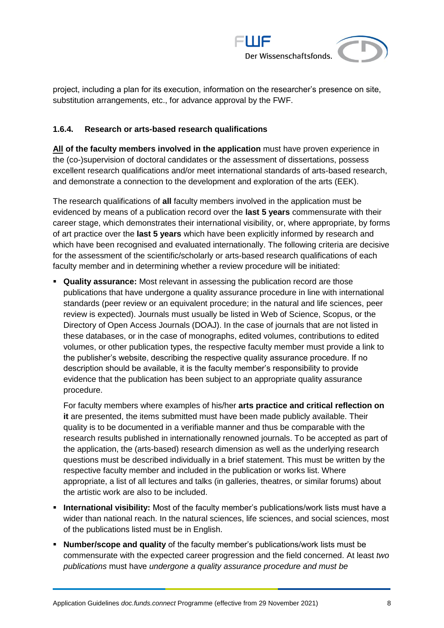

project, including a plan for its execution, information on the researcher's presence on site, substitution arrangements, etc., for advance approval by the FWF.

#### <span id="page-7-0"></span>**1.6.4. Research or arts-based research qualifications**

**All of the faculty members involved in the application** must have proven experience in the (co-)supervision of doctoral candidates or the assessment of dissertations, possess excellent research qualifications and/or meet international standards of arts-based research, and demonstrate a connection to the development and exploration of the arts (EEK).

The research qualifications of **all** faculty members involved in the application must be evidenced by means of a publication record over the **last 5 years** commensurate with their career stage, which demonstrates their international visibility, or, where appropriate, by forms of art practice over the **last 5 years** which have been explicitly informed by research and which have been recognised and evaluated internationally. The following criteria are decisive for the assessment of the scientific/scholarly or arts-based research qualifications of each faculty member and in determining whether a review procedure will be initiated:

▪ **Quality assurance:** Most relevant in assessing the publication record are those publications that have undergone a quality assurance procedure in line with international standards (peer review or an equivalent procedure; in the natural and life sciences, peer review is expected). Journals must usually be listed in Web of Science, Scopus, or the Directory of Open Access Journals (DOAJ). In the case of journals that are not listed in these databases, or in the case of monographs, edited volumes, contributions to edited volumes, or other publication types, the respective faculty member must provide a link to the publisher's website, describing the respective quality assurance procedure. If no description should be available, it is the faculty member's responsibility to provide evidence that the publication has been subject to an appropriate quality assurance procedure.

For faculty members where examples of his/her **arts practice and critical reflection on it** are presented, the items submitted must have been made publicly available. Their quality is to be documented in a verifiable manner and thus be comparable with the research results published in internationally renowned journals. To be accepted as part of the application, the (arts-based) research dimension as well as the underlying research questions must be described individually in a brief statement. This must be written by the respective faculty member and included in the publication or works list. Where appropriate, a list of all lectures and talks (in galleries, theatres, or similar forums) about the artistic work are also to be included.

- **International visibility:** Most of the faculty member's publications/work lists must have a wider than national reach. In the natural sciences, life sciences, and social sciences, most of the publications listed must be in English.
- **Number/scope and quality** of the faculty member's publications/work lists must be commensurate with the expected career progression and the field concerned. At least *two publications* must have *undergone a quality assurance procedure and must be*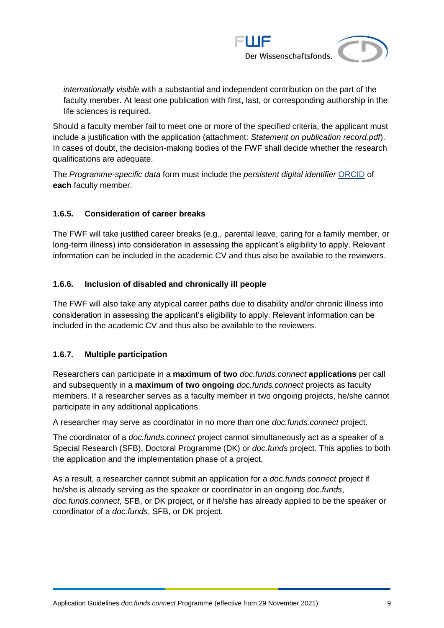

*internationally visible* with a substantial and independent contribution on the part of the faculty member. At least one publication with first, last, or corresponding authorship in the life sciences is required.

Should a faculty member fail to meet one or more of the specified criteria, the applicant must include a justification with the application (attachment: *Statement on publication record.pdf*). In cases of doubt, the decision-making bodies of the FWF shall decide whether the research qualifications are adequate.

The *Programme-specific data* form must include the *persistent digital identifier* [ORCID](https://orcid.org/) of **each** faculty member.

#### <span id="page-8-0"></span>**1.6.5. Consideration of career breaks**

The FWF will take justified career breaks (e.g., parental leave, caring for a family member, or long-term illness) into consideration in assessing the applicant's eligibility to apply. Relevant information can be included in the academic CV and thus also be available to the reviewers.

### <span id="page-8-1"></span>**1.6.6. Inclusion of disabled and chronically ill people**

The FWF will also take any atypical career paths due to disability and/or chronic illness into consideration in assessing the applicant's eligibility to apply. Relevant information can be included in the academic CV and thus also be available to the reviewers.

#### <span id="page-8-2"></span>**1.6.7. Multiple participation**

Researchers can participate in a **maximum of two** *doc.funds.connect* **applications** per call and subsequently in a **maximum of two ongoing** *doc.funds.connect* projects as faculty members. If a researcher serves as a faculty member in two ongoing projects, he/she cannot participate in any additional applications.

A researcher may serve as coordinator in no more than one *doc.funds.connect* project.

The coordinator of a *doc.funds.connect* project cannot simultaneously act as a speaker of a Special Research (SFB), Doctoral Programme (DK) or *doc.funds* project. This applies to both the application and the implementation phase of a project.

As a result, a researcher cannot submit an application for a *doc.funds.connect* project if he/she is already serving as the speaker or coordinator in an ongoing *doc.funds*, *doc.funds.connect*, SFB, or DK project, or if he/she has already applied to be the speaker or coordinator of a *doc.funds*, SFB, or DK project.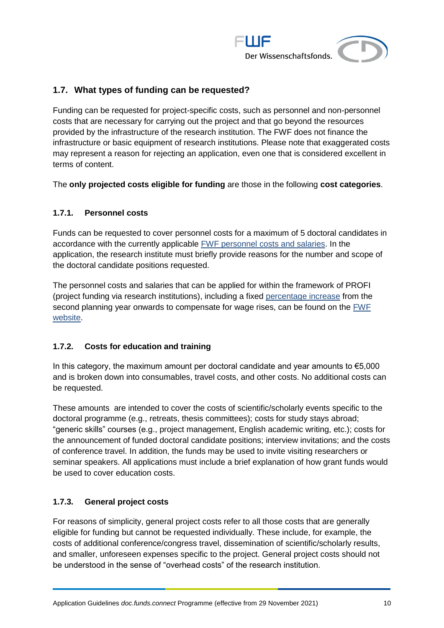

## <span id="page-9-0"></span>**1.7. What types of funding can be requested?**

Funding can be requested for project-specific costs, such as personnel and non-personnel costs that are necessary for carrying out the project and that go beyond the resources provided by the infrastructure of the research institution. The FWF does not finance the infrastructure or basic equipment of research institutions. Please note that exaggerated costs may represent a reason for rejecting an application, even one that is considered excellent in terms of content.

<span id="page-9-1"></span>The **only projected costs eligible for funding** are those in the following **cost categories**.

#### **1.7.1. Personnel costs**

Funds can be requested to cover personnel costs for a maximum of 5 doctoral candidates in accordance with the currently applicable [FWF personnel costs and salaries.](https://www.fwf.ac.at/en/research-funding/personnel-costs) In the application, the research institute must briefly provide reasons for the number and scope of the doctoral candidate positions requested.

The personnel costs and salaries that can be applied for within the framework of PROFI (project funding via research institutions), including a fixed [percentage increase](https://www.fwf.ac.at/fileadmin/files/Dokumente/Personalkostensaetze/personnel-costs-2021_profi.pdf) from the second planning year onwards to compensate for wage rises, can be found on the [FWF](https://www.fwf.ac.at/en/research-funding/personnel-costs)  [website.](https://www.fwf.ac.at/en/research-funding/personnel-costs)

#### <span id="page-9-2"></span>**1.7.2. Costs for education and training**

In this category, the maximum amount per doctoral candidate and year amounts to  $\epsilon$ 5,000 and is broken down into consumables, travel costs, and other costs. No additional costs can be requested.

These amounts are intended to cover the costs of scientific/scholarly events specific to the doctoral programme (e.g., retreats, thesis committees); costs for study stays abroad; "generic skills" courses (e.g., project management, English academic writing, etc.); costs for the announcement of funded doctoral candidate positions; interview invitations; and the costs of conference travel. In addition, the funds may be used to invite visiting researchers or seminar speakers. All applications must include a brief explanation of how grant funds would be used to cover education costs.

#### <span id="page-9-3"></span>**1.7.3. General project costs**

For reasons of simplicity, general project costs refer to all those costs that are generally eligible for funding but cannot be requested individually. These include, for example, the costs of additional conference/congress travel, dissemination of scientific/scholarly results, and smaller, unforeseen expenses specific to the project. General project costs should not be understood in the sense of "overhead costs" of the research institution.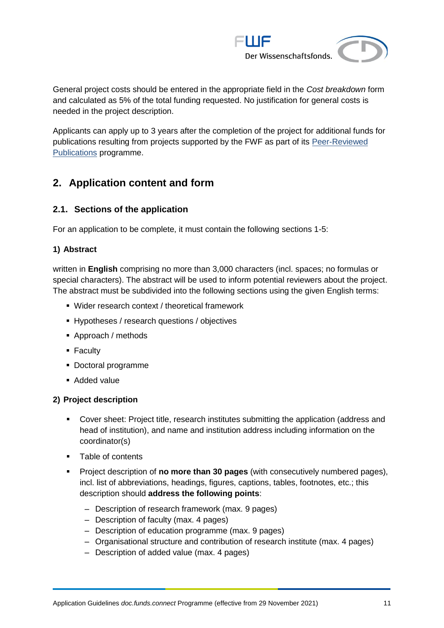

General project costs should be entered in the appropriate field in the *Cost breakdown* form and calculated as 5% of the total funding requested. No justification for general costs is needed in the project description.

Applicants can apply up to 3 years after the completion of the project for additional funds for publications resulting from projects supported by the FWF as part of its Peer-Reviewed [Publications](https://www.fwf.ac.at/en/research-funding/fwf-programmes/peer-reviewed-publications/) programme.

## <span id="page-10-0"></span>**2. Application content and form**

## <span id="page-10-1"></span>**2.1. Sections of the application**

For an application to be complete, it must contain the following sections 1-5:

### **1) Abstract**

written in **English** comprising no more than 3,000 characters (incl. spaces; no formulas or special characters). The abstract will be used to inform potential reviewers about the project. The abstract must be subdivided into the following sections using the given English terms:

- Wider research context / theoretical framework
- Hypotheses / research questions / objectives
- Approach / methods
- Faculty
- Doctoral programme
- Added value

#### **2) Project description**

- Cover sheet: Project title, research institutes submitting the application (address and head of institution), and name and institution address including information on the coordinator(s)
- Table of contents
- Project description of **no more than 30 pages** (with consecutively numbered pages), incl. list of abbreviations, headings, figures, captions, tables, footnotes, etc.; this description should **address the following points**:
	- ‒ Description of research framework (max. 9 pages)
	- ‒ Description of faculty (max. 4 pages)
	- Description of education programme (max. 9 pages)
	- ‒ Organisational structure and contribution of research institute (max. 4 pages)
	- ‒ Description of added value (max. 4 pages)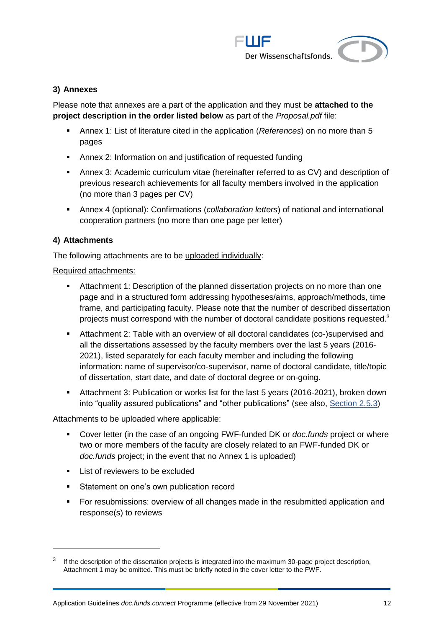

#### **3) Annexes**

Please note that annexes are a part of the application and they must be **attached to the project description in the order listed below** as part of the *Proposal.pdf* file:

- Annex 1: List of literature cited in the application (*References*) on no more than 5 pages
- Annex 2: Information on and justification of requested funding
- **EXEDENT Annex 3: Academic curriculum vitae (hereinafter referred to as CV) and description of** previous research achievements for all faculty members involved in the application (no more than 3 pages per CV)
- Annex 4 (optional): Confirmations (*collaboration letters*) of national and international cooperation partners (no more than one page per letter)

#### **4) Attachments**

 $\overline{a}$ 

The following attachments are to be uploaded individually:

#### Required attachments:

- **EXECT** Attachment 1: Description of the planned dissertation projects on no more than one page and in a structured form addressing hypotheses/aims, approach/methods, time frame, and participating faculty. Please note that the number of described dissertation projects must correspond with the number of doctoral candidate positions requested.<sup>3</sup>
- Attachment 2: Table with an overview of all doctoral candidates (co-)supervised and all the dissertations assessed by the faculty members over the last 5 years (2016- 2021), listed separately for each faculty member and including the following information: name of supervisor/co-supervisor, name of doctoral candidate, title/topic of dissertation, start date, and date of doctoral degree or on-going.
- Attachment 3: Publication or works list for the last 5 years (2016-2021), broken down into "quality assured publications" and "other publications" (see also, [Section 2.5.3\)](#page-20-1)

Attachments to be uploaded where applicable:

- Cover letter (in the case of an ongoing FWF-funded DK or *doc.funds* project or where two or more members of the faculty are closely related to an FWF-funded DK or *doc.funds* project; in the event that no Annex 1 is uploaded)
- List of reviewers to be excluded
- Statement on one's own publication record
- For resubmissions: overview of all changes made in the resubmitted application and response(s) to reviews

<sup>3</sup> If the description of the dissertation projects is integrated into the maximum 30-page project description, Attachment 1 may be omitted. This must be briefly noted in the cover letter to the FWF.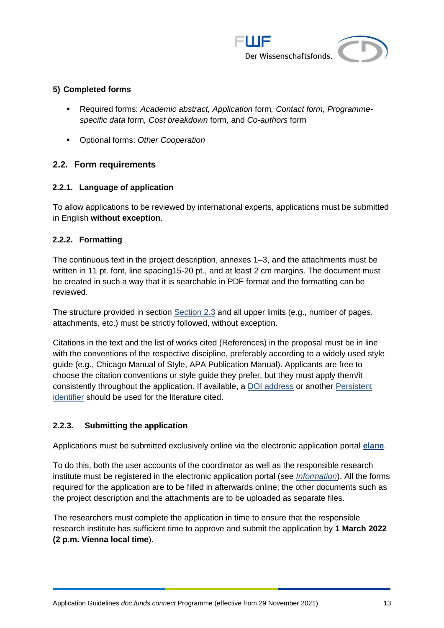

#### **5) Completed forms**

- Required forms: *Academic abstract, Application* form*, Contact form, Programmespecific data* form*, Cost breakdown* form, and *Co-authors* form
- Optional forms: *Other Cooperation*

#### <span id="page-12-0"></span>**2.2. Form requirements**

#### <span id="page-12-1"></span>**2.2.1. Language of application**

To allow applications to be reviewed by international experts, applications must be submitted in English **without exception**.

#### <span id="page-12-2"></span>**2.2.2. Formatting**

The continuous text in the project description, annexes 1–3, and the attachments must be written in 11 pt. font, line spacing15-20 pt., and at least 2 cm margins. The document must be created in such a way that it is searchable in PDF format and the formatting can be reviewed.

The structure provided in section [Section 2.3](#page-13-0) and all upper limits (e.g., number of pages, attachments, etc.) must be strictly followed, without exception.

Citations in the text and the list of works cited (References) in the proposal must be in line with the conventions of the respective discipline, preferably according to a widely used style guide (e.g., Chicago Manual of Style, APA Publication Manual). Applicants are free to choose the citation conventions or style guide they prefer, but they must apply them/it consistently throughout the application. If available, a [DOI address](http://www.doi.org/index.html) or another Persistent [identifier](https://en.wikipedia.org/wiki/Persistent_identifier) should be used for the literature cited.

#### <span id="page-12-3"></span>**2.2.3. Submitting the application**

Applications must be submitted exclusively online via the electronic application portal **[elane](https://elane.fwf.ac.at/)**.

To do this, both the user accounts of the coordinator as well as the responsible research institute must be registered in the electronic application portal (see *[Information](https://elane.fwf.ac.at/wicket/resource/org.apache.wicket.Application/FST_Information_en-ver-EA3E587E5727E3FF4B10FA6BFB6D89F1.pdf)*). All the forms required for the application are to be filled in afterwards online; the other documents such as the project description and the attachments are to be uploaded as separate files.

The researchers must complete the application in time to ensure that the responsible research institute has sufficient time to approve and submit the application by **1 March 2022 (2 p.m. Vienna local time**).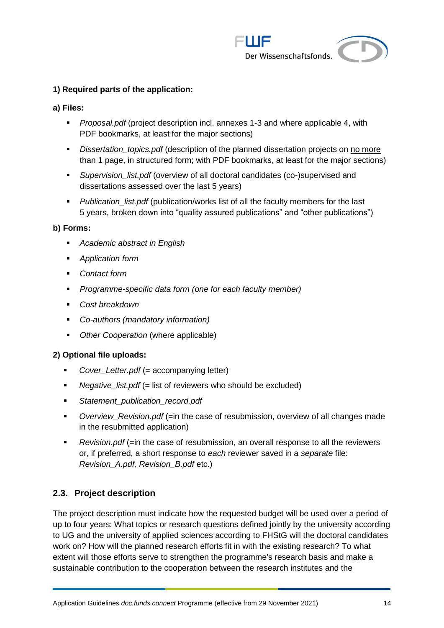

#### **1) Required parts of the application:**

- **a) Files:**
	- *Proposal.pdf* (project description incl. annexes 1-3 and where applicable 4, with PDF bookmarks, at least for the major sections)
	- **EXECT** *Dissertation\_topics.pdf* (description of the planned dissertation projects on no more than 1 page, in structured form; with PDF bookmarks, at least for the major sections)
	- *Supervision\_list.pdf* (overview of all doctoral candidates (co-)supervised and dissertations assessed over the last 5 years)
	- *Publication list.pdf* (publication/works list of all the faculty members for the last 5 years, broken down into "quality assured publications" and "other publications")

#### **b) Forms:**

- *Academic abstract in English*
- *Application form*
- *Contact form*
- *Programme-specific data form (one for each faculty member)*
- *Cost breakdown*
- *Co-authors (mandatory information)*
- *Other Cooperation* (where applicable)

#### **2) Optional file uploads:**

- *Cover\_Letter.pdf* (= accompanying letter)
- *Negative\_list.pdf* (= list of reviewers who should be excluded)
- *Statement\_publication\_record.pdf*
- *Overview\_Revision.pdf* (=in the case of resubmission, overview of all changes made in the resubmitted application)
- *Revision.pdf* (=in the case of resubmission, an overall response to all the reviewers or, if preferred, a short response to *each* reviewer saved in a *separate* file: *Revision\_A.pdf, Revision\_B.pdf* etc.)

#### <span id="page-13-0"></span>**2.3. Project description**

The project description must indicate how the requested budget will be used over a period of up to four years: What topics or research questions defined jointly by the university according to UG and the university of applied sciences according to FHStG will the doctoral candidates work on? How will the planned research efforts fit in with the existing research? To what extent will those efforts serve to strengthen the programme's research basis and make a sustainable contribution to the cooperation between the research institutes and the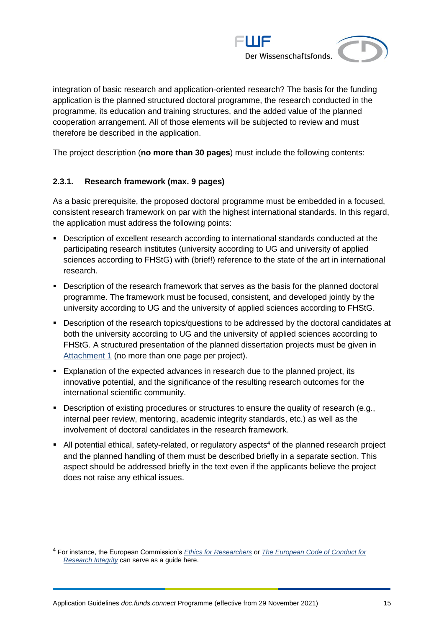

integration of basic research and application-oriented research? The basis for the funding application is the planned structured doctoral programme, the research conducted in the programme, its education and training structures, and the added value of the planned cooperation arrangement. All of those elements will be subjected to review and must therefore be described in the application.

<span id="page-14-0"></span>The project description (**no more than 30 pages**) must include the following contents:

#### **2.3.1. Research framework (max. 9 pages)**

As a basic prerequisite, the proposed doctoral programme must be embedded in a focused, consistent research framework on par with the highest international standards. In this regard, the application must address the following points:

- **•** Description of excellent research according to international standards conducted at the participating research institutes (university according to UG and university of applied sciences according to FHStG) with (brief!) reference to the state of the art in international research.
- Description of the research framework that serves as the basis for the planned doctoral programme. The framework must be focused, consistent, and developed jointly by the university according to UG and the university of applied sciences according to FHStG.
- Description of the research topics/questions to be addressed by the doctoral candidates at both the university according to UG and the university of applied sciences according to FHStG. A structured presentation of the planned dissertation projects must be given in [Attachment 1](#page-19-2) (no more than one page per project).
- Explanation of the expected advances in research due to the planned project, its innovative potential, and the significance of the resulting research outcomes for the international scientific community.
- Description of existing procedures or structures to ensure the quality of research (e.g., internal peer review, mentoring, academic integrity standards, etc.) as well as the involvement of doctoral candidates in the research framework.
- $\blacksquare$  All potential ethical, safety-related, or regulatory aspects<sup>4</sup> of the planned research project and the planned handling of them must be described briefly in a separate section. This aspect should be addressed briefly in the text even if the applicants believe the project does not raise any ethical issues.

<sup>4</sup> For instance, the European Commission's *[Ethics for Researchers](http://ec.europa.eu/research/participants/data/ref/fp7/89888/ethics-for-researchers_en.pdf)* or *[The European Code of Conduct for](https://ec.europa.eu/info/funding-tenders/opportunities/docs/2021-2027/horizon/guidance/european-code-of-conduct-for-research-integrity_horizon_en.pdf)  [Research Integrity](https://ec.europa.eu/info/funding-tenders/opportunities/docs/2021-2027/horizon/guidance/european-code-of-conduct-for-research-integrity_horizon_en.pdf)* can serve as a guide here.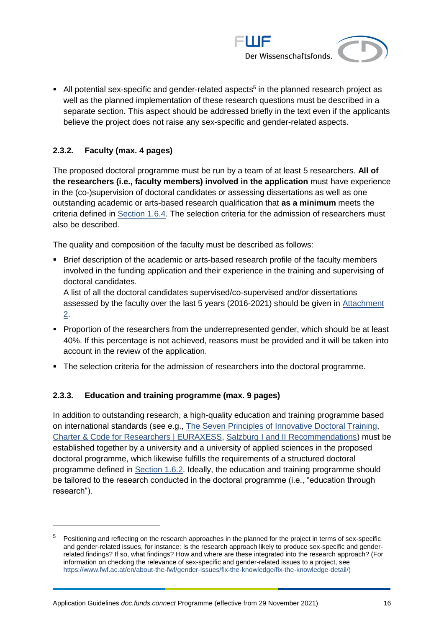

■ All potential sex-specific and gender-related aspects<sup>5</sup> in the planned research project as well as the planned implementation of these research questions must be described in a separate section. This aspect should be addressed briefly in the text even if the applicants believe the project does not raise any sex-specific and gender-related aspects.

#### <span id="page-15-0"></span>**2.3.2. Faculty (max. 4 pages)**

 $\overline{a}$ 

The proposed doctoral programme must be run by a team of at least 5 researchers. **All of the researchers (i.e., faculty members) involved in the application** must have experience in the (co-)supervision of doctoral candidates or assessing dissertations as well as one outstanding academic or arts-based research qualification that **as a minimum** meets the criteria defined in [Section 1.6.4.](#page-7-0) The selection criteria for the admission of researchers must also be described.

The quality and composition of the faculty must be described as follows:

■ Brief description of the academic or arts-based research profile of the faculty members involved in the funding application and their experience in the training and supervising of doctoral candidates.

A list of all the doctoral candidates supervised/co-supervised and/or dissertations assessed by the faculty over the last 5 years (2016-2021) should be given in [Attachment](#page-20-0)  [2.](#page-20-0)

- Proportion of the researchers from the underrepresented gender, which should be at least 40%. If this percentage is not achieved, reasons must be provided and it will be taken into account in the review of the application.
- <span id="page-15-1"></span>▪ The selection criteria for the admission of researchers into the doctoral programme.

#### **2.3.3. Education and training programme (max. 9 pages)**

In addition to outstanding research, a high-quality education and training programme based on international standards (see e.g., [The Seven Principles of Innovative Doctoral Training,](https://www.euraxess.be/belgium/jobs-funding/doctoral-training-principles) [Charter & Code for Researchers | EURAXESS,](https://euraxess.ec.europa.eu/jobs/charter) [Salzburg I and II Recommendations\)](https://eua-cde.org/reports-publications.html) must be established together by a university and a university of applied sciences in the proposed doctoral programme, which likewise fulfills the requirements of a structured doctoral programme defined in [Section 1.6.2.](#page-5-2) Ideally, the education and training programme should be tailored to the research conducted in the doctoral programme (i.e., "education through research").

<sup>&</sup>lt;sup>5</sup> Positioning and reflecting on the research approaches in the planned for the project in terms of sex-specific and gender-related issues, for instance: Is the research approach likely to produce sex-specific and genderrelated findings? If so, what findings? How and where are these integrated into the research approach? (For information on checking the relevance of sex-specific and gender-related issues to a project, see [https://www.fwf.ac.at/en/about-the-fwf/gender-issues/fix-the-knowledge/fix-the-knowledge-detail/\)](https://www.fwf.ac.at/en/about-the-fwf/gender-issues/fix-the-knowledge/fix-the-knowledge-detail/)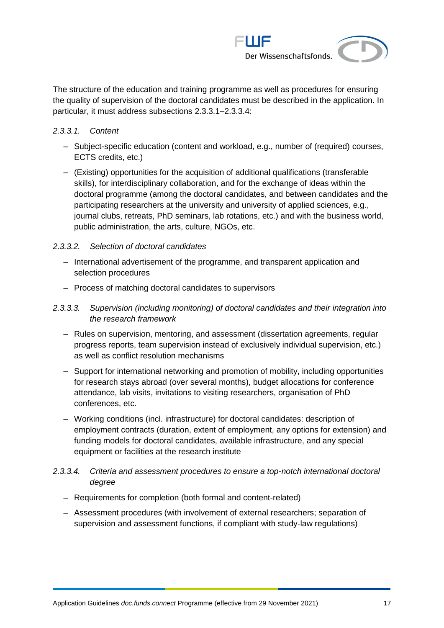

The structure of the education and training programme as well as procedures for ensuring the quality of supervision of the doctoral candidates must be described in the application. In particular, it must address subsections [2.3.3.1–](#page-16-0)[2.3.3.4:](#page-16-1)

#### <span id="page-16-0"></span>*2.3.3.1. Content*

- ‒ Subject-specific education (content and workload, e.g., number of (required) courses, ECTS credits, etc.)
- ‒ (Existing) opportunities for the acquisition of additional qualifications (transferable skills), for interdisciplinary collaboration, and for the exchange of ideas within the doctoral programme (among the doctoral candidates, and between candidates and the participating researchers at the university and university of applied sciences, e.g., journal clubs, retreats, PhD seminars, lab rotations, etc.) and with the business world, public administration, the arts, culture, NGOs, etc.

#### *2.3.3.2. Selection of doctoral candidates*

- ‒ International advertisement of the programme, and transparent application and selection procedures
- ‒ Process of matching doctoral candidates to supervisors

#### *2.3.3.3. Supervision (including monitoring) of doctoral candidates and their integration into the research framework*

- ‒ Rules on supervision, mentoring, and assessment (dissertation agreements, regular progress reports, team supervision instead of exclusively individual supervision, etc.) as well as conflict resolution mechanisms
- Support for international networking and promotion of mobility, including opportunities for research stays abroad (over several months), budget allocations for conference attendance, lab visits, invitations to visiting researchers, organisation of PhD conferences, etc.
- ‒ Working conditions (incl. infrastructure) for doctoral candidates: description of employment contracts (duration, extent of employment, any options for extension) and funding models for doctoral candidates, available infrastructure, and any special equipment or facilities at the research institute

#### <span id="page-16-1"></span>*2.3.3.4. Criteria and assessment procedures to ensure a top-notch international doctoral degree*

- Requirements for completion (both formal and content-related)
- ‒ Assessment procedures (with involvement of external researchers; separation of supervision and assessment functions, if compliant with study-law regulations)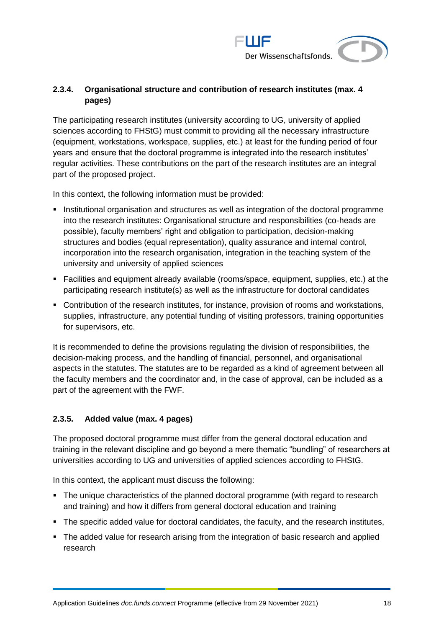

## <span id="page-17-0"></span>**2.3.4. Organisational structure and contribution of research institutes (max. 4 pages)**

The participating research institutes (university according to UG, university of applied sciences according to FHStG) must commit to providing all the necessary infrastructure (equipment, workstations, workspace, supplies, etc.) at least for the funding period of four years and ensure that the doctoral programme is integrated into the research institutes' regular activities. These contributions on the part of the research institutes are an integral part of the proposed project.

In this context, the following information must be provided:

- **•** Institutional organisation and structures as well as integration of the doctoral programme into the research institutes: Organisational structure and responsibilities (co-heads are possible), faculty members' right and obligation to participation, decision-making structures and bodies (equal representation), quality assurance and internal control, incorporation into the research organisation, integration in the teaching system of the university and university of applied sciences
- Facilities and equipment already available (rooms/space, equipment, supplies, etc.) at the participating research institute(s) as well as the infrastructure for doctoral candidates
- Contribution of the research institutes, for instance, provision of rooms and workstations, supplies, infrastructure, any potential funding of visiting professors, training opportunities for supervisors, etc.

It is recommended to define the provisions regulating the division of responsibilities, the decision-making process, and the handling of financial, personnel, and organisational aspects in the statutes. The statutes are to be regarded as a kind of agreement between all the faculty members and the coordinator and, in the case of approval, can be included as a part of the agreement with the FWF.

## <span id="page-17-1"></span>**2.3.5. Added value (max. 4 pages)**

The proposed doctoral programme must differ from the general doctoral education and training in the relevant discipline and go beyond a mere thematic "bundling" of researchers at universities according to UG and universities of applied sciences according to FHStG.

In this context, the applicant must discuss the following:

- The unique characteristics of the planned doctoral programme (with regard to research and training) and how it differs from general doctoral education and training
- The specific added value for doctoral candidates, the faculty, and the research institutes,
- The added value for research arising from the integration of basic research and applied research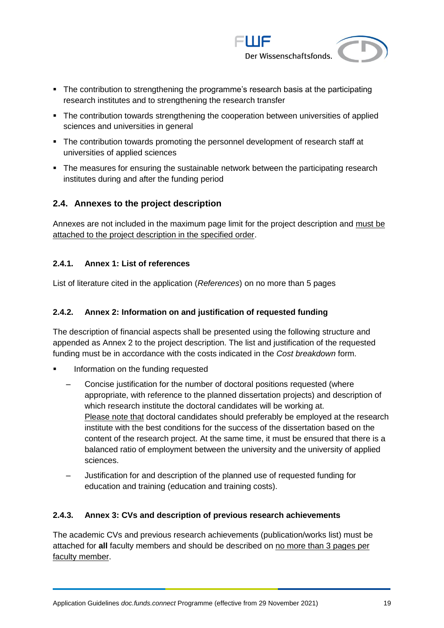

- The contribution to strengthening the programme's research basis at the participating research institutes and to strengthening the research transfer
- **·** The contribution towards strengthening the cooperation between universities of applied sciences and universities in general
- **•** The contribution towards promoting the personnel development of research staff at universities of applied sciences
- The measures for ensuring the sustainable network between the participating research institutes during and after the funding period

### <span id="page-18-0"></span>**2.4. Annexes to the project description**

Annexes are not included in the maximum page limit for the project description and must be attached to the project description in the specified order.

#### <span id="page-18-1"></span>**2.4.1. Annex 1: List of references**

<span id="page-18-2"></span>List of literature cited in the application (*References*) on no more than 5 pages

#### **2.4.2. Annex 2: Information on and justification of requested funding**

The description of financial aspects shall be presented using the following structure and appended as Annex 2 to the project description. The list and justification of the requested funding must be in accordance with the costs indicated in the *Cost breakdown* form.

- Information on the funding requested
	- ‒ Concise justification for the number of doctoral positions requested (where appropriate, with reference to the planned dissertation projects) and description of which research institute the doctoral candidates will be working at. Please note that doctoral candidates should preferably be employed at the research institute with the best conditions for the success of the dissertation based on the content of the research project. At the same time, it must be ensured that there is a balanced ratio of employment between the university and the university of applied sciences.
	- ‒ Justification for and description of the planned use of requested funding for education and training (education and training costs).

#### <span id="page-18-3"></span>**2.4.3. Annex 3: CVs and description of previous research achievements**

The academic CVs and previous research achievements (publication/works list) must be attached for **all** faculty members and should be described on no more than 3 pages per faculty member.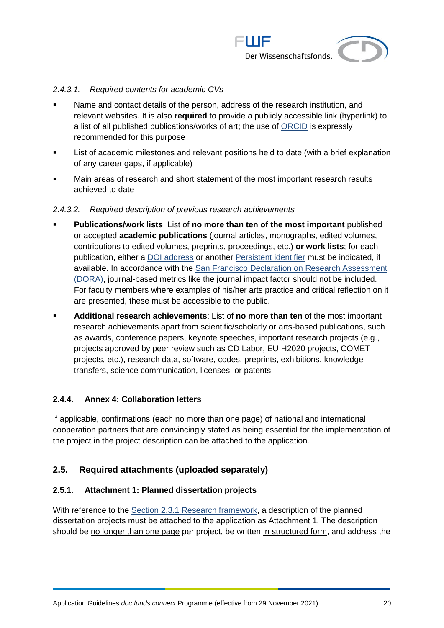

#### *2.4.3.1. Required contents for academic CVs*

- Name and contact details of the person, address of the research institution, and relevant websites. It is also **required** to provide a publicly accessible link (hyperlink) to a list of all published publications/works of art; the use of [ORCID](https://orcid.org/) is expressly recommended for this purpose
- List of academic milestones and relevant positions held to date (with a brief explanation of any career gaps, if applicable)
- Main areas of research and short statement of the most important research results achieved to date

#### *2.4.3.2. Required description of previous research achievements*

- **Publications/work lists: List of no more than ten of the most important** published or accepted **academic publications** (journal articles, monographs, edited volumes, contributions to edited volumes, preprints, proceedings, etc.) **or work lists**; for each publication, either a [DOI address](http://www.doi.org/) or another [Persistent identifier](https://en.wikipedia.org/wiki/Persistent_identifier) must be indicated, if available. In accordance with the [San Francisco Declaration on Research Assessment](https://sfdora.org/) [\(DORA\),](https://sfdora.org/) journal-based metrics like the journal impact factor should not be included. For faculty members where examples of his/her arts practice and critical reflection on it are presented, these must be accessible to the public.
- **Additional research achievements**: List of **no more than ten** of the most important research achievements apart from scientific/scholarly or arts-based publications, such as awards, conference papers, keynote speeches, important research projects (e.g., projects approved by peer review such as CD Labor, EU H2020 projects, COMET projects, etc.), research data, software, codes, preprints, exhibitions, knowledge transfers, science communication, licenses, or patents.

#### <span id="page-19-0"></span>**2.4.4. Annex 4: Collaboration letters**

If applicable, confirmations (each no more than one page) of national and international cooperation partners that are convincingly stated as being essential for the implementation of the project in the project description can be attached to the application.

#### <span id="page-19-1"></span>**2.5. Required attachments (uploaded separately)**

#### <span id="page-19-2"></span>**2.5.1. Attachment 1: Planned dissertation projects**

With reference to the [Section 2.3.1 Research framework,](#page-14-0) a description of the planned dissertation projects must be attached to the application as Attachment 1. The description should be no longer than one page per project, be written in structured form, and address the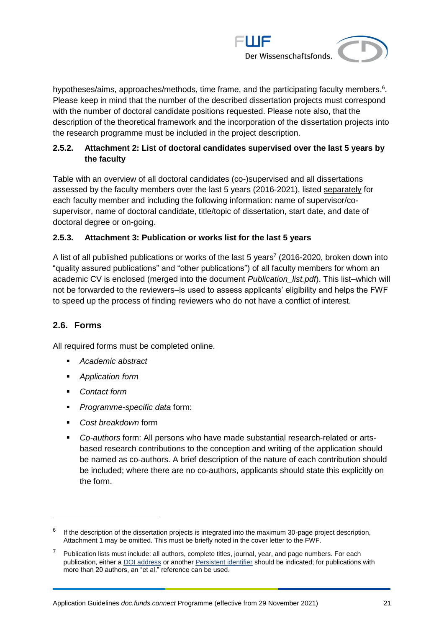

hypotheses/aims, approaches/methods, time frame, and the participating faculty members.<sup>6</sup>. Please keep in mind that the number of the described dissertation projects must correspond with the number of doctoral candidate positions requested. Please note also, that the description of the theoretical framework and the incorporation of the dissertation projects into the research programme must be included in the project description.

### <span id="page-20-0"></span>**2.5.2. Attachment 2: List of doctoral candidates supervised over the last 5 years by the faculty**

Table with an overview of all doctoral candidates (co-)supervised and all dissertations assessed by the faculty members over the last 5 years (2016-2021), listed separately for each faculty member and including the following information: name of supervisor/cosupervisor, name of doctoral candidate, title/topic of dissertation, start date, and date of doctoral degree or on-going.

#### <span id="page-20-1"></span>**2.5.3. Attachment 3: Publication or works list for the last 5 years**

A list of all published publications or works of the last 5 years<sup>7</sup> (2016-2020, broken down into "quality assured publications" and "other publications") of all faculty members for whom an academic CV is enclosed (merged into the document *Publication\_list.pdf*). This list–which will not be forwarded to the reviewers–is used to assess applicants' eligibility and helps the FWF to speed up the process of finding reviewers who do not have a conflict of interest.

## <span id="page-20-2"></span>**2.6. Forms**

 $\overline{a}$ 

All required forms must be completed online.

- *Academic abstract*
- *Application form*
- *Contact form*
- *Programme-specific data* form:
- *Cost breakdown* form
- *Co-authors* form: All persons who have made substantial research-related or artsbased research contributions to the conception and writing of the application should be named as co-authors. A brief description of the nature of each contribution should be included; where there are no co-authors, applicants should state this explicitly on the form.

 $^6$  If the description of the dissertation projects is integrated into the maximum 30-page project description, Attachment 1 may be omitted. This must be briefly noted in the cover letter to the FWF.

 $7$  Publication lists must include: all authors, complete titles, journal, year, and page numbers. For each publication, either [a DOI address](http://www.doi.org/) or another [Persistent identifier](http://en.wikipedia.org/wiki/Persistent_identifier) should be indicated; for publications with more than 20 authors, an "et al." reference can be used.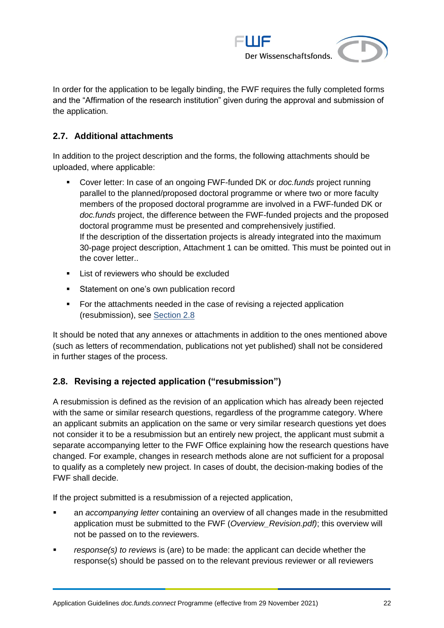

In order for the application to be legally binding, the FWF requires the fully completed forms and the "Affirmation of the research institution" given during the approval and submission of the application.

## <span id="page-21-0"></span>**2.7. Additional attachments**

In addition to the project description and the forms, the following attachments should be uploaded, where applicable:

- Cover letter: In case of an ongoing FWF-funded DK or *doc.funds* project running parallel to the planned/proposed doctoral programme or where two or more faculty members of the proposed doctoral programme are involved in a FWF-funded DK or *doc.funds* project, the difference between the FWF-funded projects and the proposed doctoral programme must be presented and comprehensively justified. If the description of the dissertation projects is already integrated into the maximum 30-page project description, Attachment 1 can be omitted. This must be pointed out in the cover letter..
- List of reviewers who should be excluded
- **EXECT:** Statement on one's own publication record
- For the attachments needed in the case of revising a rejected application (resubmission), see [Section 2.8](#page-21-1)

It should be noted that any annexes or attachments in addition to the ones mentioned above (such as letters of recommendation, publications not yet published) shall not be considered in further stages of the process.

## <span id="page-21-1"></span>**2.8. Revising a rejected application ("resubmission")**

A resubmission is defined as the revision of an application which has already been rejected with the same or similar research questions, regardless of the programme category. Where an applicant submits an application on the same or very similar research questions yet does not consider it to be a resubmission but an entirely new project, the applicant must submit a separate accompanying letter to the FWF Office explaining how the research questions have changed. For example, changes in research methods alone are not sufficient for a proposal to qualify as a completely new project. In cases of doubt, the decision-making bodies of the FWF shall decide.

If the project submitted is a resubmission of a rejected application,

- an *accompanying letter* containing an overview of all changes made in the resubmitted application must be submitted to the FWF (*Overview\_Revision.pdf)*; this overview will not be passed on to the reviewers.
- *response(s) to reviews* is (are) to be made: the applicant can decide whether the response(s) should be passed on to the relevant previous reviewer or all reviewers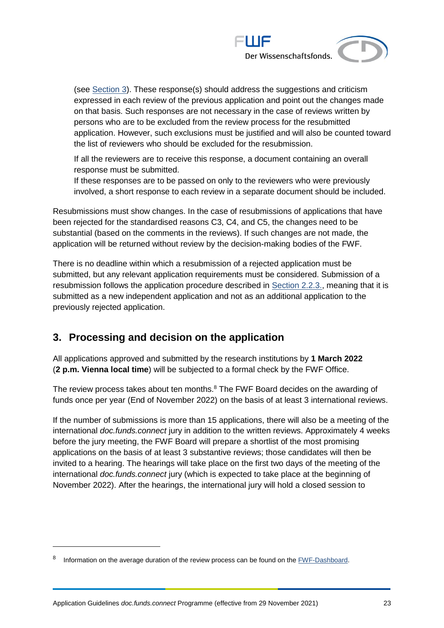

(see [Section 3\)](#page-22-0). These response(s) should address the suggestions and criticism expressed in each review of the previous application and point out the changes made on that basis. Such responses are not necessary in the case of reviews written by persons who are to be excluded from the review process for the resubmitted application. However, such exclusions must be justified and will also be counted toward the list of reviewers who should be excluded for the resubmission.

If all the reviewers are to receive this response, a document containing an overall response must be submitted.

If these responses are to be passed on only to the reviewers who were previously involved, a short response to each review in a separate document should be included.

Resubmissions must show changes. In the case of resubmissions of applications that have been rejected for the standardised reasons C3, C4, and C5, the changes need to be substantial (based on the comments in the reviews). If such changes are not made, the application will be returned without review by the decision-making bodies of the FWF.

There is no deadline within which a resubmission of a rejected application must be submitted, but any relevant application requirements must be considered. Submission of a resubmission follows the application procedure described in [Section 2.2.3.,](#page-12-3) meaning that it is submitted as a new independent application and not as an additional application to the previously rejected application.

## <span id="page-22-0"></span>**3. Processing and decision on the application**

All applications approved and submitted by the research institutions by **1 March 2022** (**2 p.m. Vienna local time**) will be subjected to a formal check by the FWF Office.

The review process takes about ten months.<sup>8</sup> The FWF Board decides on the awarding of funds once per year (End of November 2022) on the basis of at least 3 international reviews.

If the number of submissions is more than 15 applications, there will also be a meeting of the international *doc.funds.connect* jury in addition to the written reviews. Approximately 4 weeks before the jury meeting, the FWF Board will prepare a shortlist of the most promising applications on the basis of at least 3 substantive reviews; those candidates will then be invited to a hearing. The hearings will take place on the first two days of the meeting of the international *doc.funds.connect* jury (which is expected to take place at the beginning of November 2022). After the hearings, the international jury will hold a closed session to

 $\overline{a}$ 

<sup>8</sup> Information on the average duration of the review process can be found on the [FWF-Dashboard.](http://dashboard.fwf.ac.at/en/)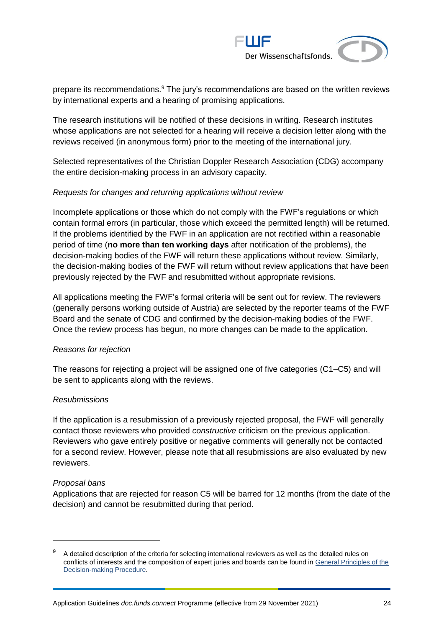

prepare its recommendations.<sup>9</sup> The jury's recommendations are based on the written reviews by international experts and a hearing of promising applications.

The research institutions will be notified of these decisions in writing. Research institutes whose applications are not selected for a hearing will receive a decision letter along with the reviews received (in anonymous form) prior to the meeting of the international jury.

Selected representatives of the Christian Doppler Research Association (CDG) accompany the entire decision-making process in an advisory capacity.

#### *Requests for changes and returning applications without review*

Incomplete applications or those which do not comply with the FWF's regulations or which contain formal errors (in particular, those which exceed the permitted length) will be returned. If the problems identified by the FWF in an application are not rectified within a reasonable period of time (**no more than ten working days** after notification of the problems), the decision-making bodies of the FWF will return these applications without review. Similarly, the decision-making bodies of the FWF will return without review applications that have been previously rejected by the FWF and resubmitted without appropriate revisions.

All applications meeting the FWF's formal criteria will be sent out for review. The reviewers (generally persons working outside of Austria) are selected by the reporter teams of the FWF Board and the senate of CDG and confirmed by the decision-making bodies of the FWF. Once the review process has begun, no more changes can be made to the application.

#### *Reasons for rejection*

The reasons for rejecting a project will be assigned one of five categories (C1–C5) and will be sent to applicants along with the reviews.

#### *Resubmissions*

If the application is a resubmission of a previously rejected proposal, the FWF will generally contact those reviewers who provided *constructive* criticism on the previous application. Reviewers who gave entirely positive or negative comments will generally not be contacted for a second review. However, please note that all resubmissions are also evaluated by new reviewers.

#### *Proposal bans*

Applications that are rejected for reason C5 will be barred for 12 months (from the date of the decision) and cannot be resubmitted during that period.

<sup>9</sup> A detailed description of the criteria for selecting international reviewers as well as the detailed rules on conflicts of interests and the composition of expert juries and boards can be found in [General Principles of the](https://www.fwf.ac.at/fileadmin/files/Dokumente/Entscheidung_Evaluation/fwf-decision-making-procedure.pdf)  [Decision-making Procedure.](https://www.fwf.ac.at/fileadmin/files/Dokumente/Entscheidung_Evaluation/fwf-decision-making-procedure.pdf)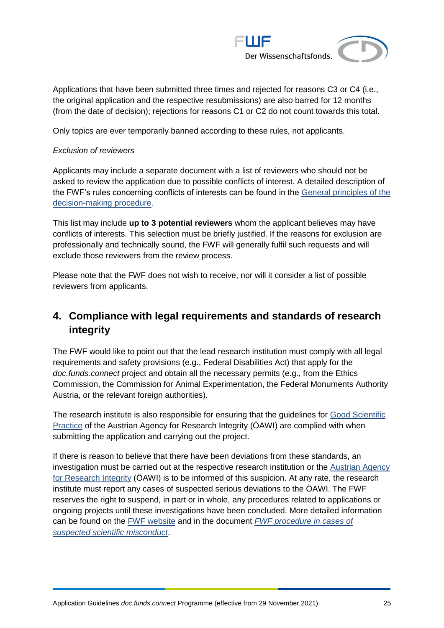

Applications that have been submitted three times and rejected for reasons C3 or C4 (i.e., the original application and the respective resubmissions) are also barred for 12 months (from the date of decision); rejections for reasons C1 or C2 do not count towards this total.

Only topics are ever temporarily banned according to these rules, not applicants.

#### *Exclusion of reviewers*

Applicants may include a separate document with a list of reviewers who should not be asked to review the application due to possible conflicts of interest. A detailed description of the FWF's rules concerning conflicts of interests can be found in the [General principles of the](https://www.fwf.ac.at/en/research-funding/decision-making-procedure-evaluation/decision-making-procedure/)  [decision-making procedure.](https://www.fwf.ac.at/en/research-funding/decision-making-procedure-evaluation/decision-making-procedure/)

This list may include **up to 3 potential reviewers** whom the applicant believes may have conflicts of interests. This selection must be briefly justified. If the reasons for exclusion are professionally and technically sound, the FWF will generally fulfil such requests and will exclude those reviewers from the review process.

Please note that the FWF does not wish to receive, nor will it consider a list of possible reviewers from applicants.

## <span id="page-24-0"></span>**4. Compliance with legal requirements and standards of research integrity**

The FWF would like to point out that the lead research institution must comply with all legal requirements and safety provisions (e.g., Federal Disabilities Act) that apply for the *doc.funds.connect* project and obtain all the necessary permits (e.g., from the Ethics Commission, the Commission for Animal Experimentation, the Federal Monuments Authority Austria, or the relevant foreign authorities).

The research institute is also responsible for ensuring that the guidelines for [Good Scientific](https://oeawi.at/en/guidelines/)  [Practice](https://oeawi.at/en/guidelines/) of the Austrian Agency for Research Integrity (ÖAWI) are complied with when submitting the application and carrying out the project.

If there is reason to believe that there have been deviations from these standards, an investigation must be carried out at the respective research institution or the [Austrian Agency](https://oeawi.at/en/)  [for Research Integrity](https://oeawi.at/en/) (ÖAWI) is to be informed of this suspicion. At any rate, the research institute must report any cases of suspected serious deviations to the ÖAWI. The FWF reserves the right to suspend, in part or in whole, any procedures related to applications or ongoing projects until these investigations have been concluded. More detailed information can be found on the [FWF website](https://fwf.ac.at/en/research-funding/research-integrity-research-ethics/) and in the document *[FWF procedure in cases of](https://www.fwf.ac.at/fileadmin/files/Dokumente/Research_Integrity_Ethics/FWF_Verfahren_Research_Misconduct-en.pdf)  [suspected scientific misconduct](https://www.fwf.ac.at/fileadmin/files/Dokumente/Research_Integrity_Ethics/FWF_Verfahren_Research_Misconduct-en.pdf)*.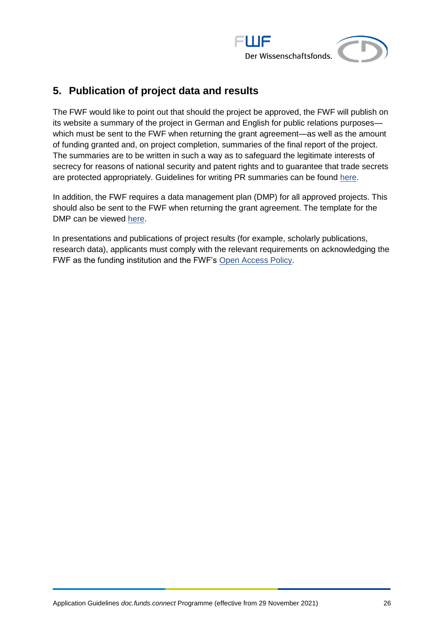

## <span id="page-25-0"></span>**5. Publication of project data and results**

The FWF would like to point out that should the project be approved, the FWF will publish on its website a summary of the project in German and English for public relations purposes which must be sent to the FWF when returning the grant agreement—as well as the amount of funding granted and, on project completion, summaries of the final report of the project. The summaries are to be written in such a way as to safeguard the legitimate interests of secrecy for reasons of national security and patent rights and to guarantee that trade secrets are protected appropriately. Guidelines for writing PR summaries can be found [here.](https://www.fwf.ac.at/fileadmin/files/Dokumente/Antragstellung/specifications_pr-summaries.pdf)

In addition, the FWF requires a data management plan (DMP) for all approved projects. This should also be sent to the FWF when returning the grant agreement. The template for the DMP can be viewed [here.](https://www.fwf.ac.at/en/research-funding/open-access-policy/research-data-management/)

In presentations and publications of project results (for example, scholarly publications, research data), applicants must comply with the relevant requirements on acknowledging the FWF as the funding institution and the FWF's [Open Access Policy.](https://www.fwf.ac.at/en/research-funding/open-access-policy/)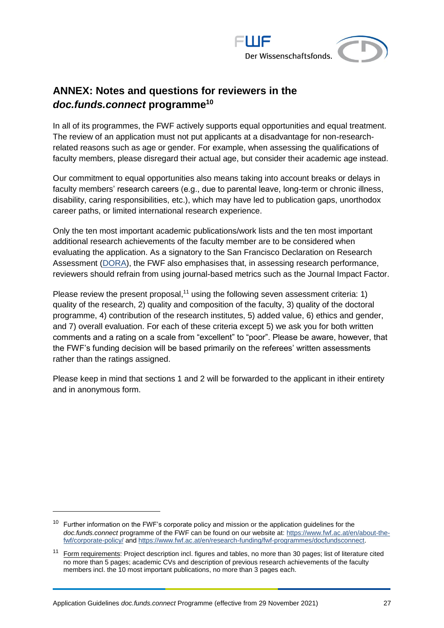

## <span id="page-26-0"></span>**ANNEX: Notes and questions for reviewers in the**  *doc.funds.connect* **programme<sup>10</sup>**

In all of its programmes, the FWF actively supports equal opportunities and equal treatment. The review of an application must not put applicants at a disadvantage for non-researchrelated reasons such as age or gender. For example, when assessing the qualifications of faculty members, please disregard their actual age, but consider their academic age instead.

Our commitment to equal opportunities also means taking into account breaks or delays in faculty members' research careers (e.g., due to parental leave, long-term or chronic illness, disability, caring responsibilities, etc.), which may have led to publication gaps, unorthodox career paths, or limited international research experience.

Only the ten most important academic publications/work lists and the ten most important additional research achievements of the faculty member are to be considered when evaluating the application. As a signatory to the San Francisco Declaration on Research Assessment [\(DORA\)](https://sfdora.org/read/), the FWF also emphasises that, in assessing research performance, reviewers should refrain from using journal-based metrics such as the Journal Impact Factor.

Please review the present proposal,<sup>11</sup> using the following seven assessment criteria: 1) quality of the research, 2) quality and composition of the faculty, 3) quality of the doctoral programme, 4) contribution of the research institutes, 5) added value, 6) ethics and gender, and 7) overall evaluation. For each of these criteria except 5) we ask you for both written comments and a rating on a scale from "excellent" to "poor". Please be aware, however, that the FWF's funding decision will be based primarily on the referees' written assessments rather than the ratings assigned.

Please keep in mind that sections 1 and 2 will be forwarded to the applicant in itheir entirety and in anonymous form.

 $10$  Further information on the FWF's corporate policy and mission or the application guidelines for the *doc.funds.connect* programme of the FWF can be found on our website at: [https://www.fwf.ac.at/en/about-the](https://www.fwf.ac.at/en/about-the-fwf/corporate-policy/)[fwf/corporate-policy/](https://www.fwf.ac.at/en/about-the-fwf/corporate-policy/) an[d https://www.fwf.ac.at/en/research-funding/fwf-programmes/docfundsconnect.](https://www.fwf.ac.at/en/research-funding/fwf-programmes/docfundsconnect)

<sup>&</sup>lt;sup>11</sup> Form requirements: Project description incl. figures and tables, no more than 30 pages; list of literature cited no more than 5 pages; academic CVs and description of previous research achievements of the faculty members incl. the 10 most important publications, no more than 3 pages each.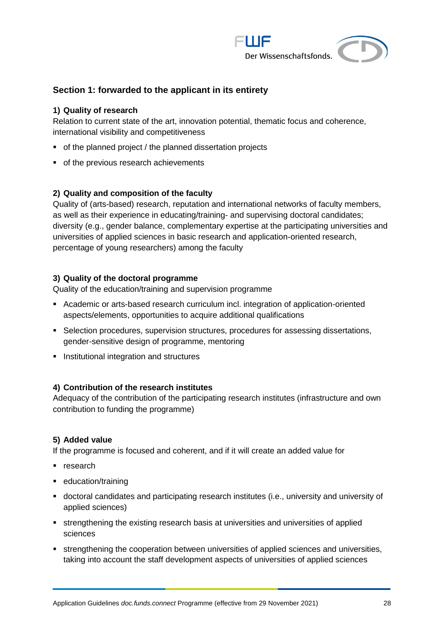

### **Section 1: forwarded to the applicant in its entirety**

#### **1) Quality of research**

Relation to current state of the art, innovation potential, thematic focus and coherence, international visibility and competitiveness

- of the planned project / the planned dissertation projects
- of the previous research achievements

#### **2) Quality and composition of the faculty**

Quality of (arts-based) research, reputation and international networks of faculty members, as well as their experience in educating/training- and supervising doctoral candidates; diversity (e.g., gender balance, complementary expertise at the participating universities and universities of applied sciences in basic research and application-oriented research, percentage of young researchers) among the faculty

#### **3) Quality of the doctoral programme**

Quality of the education/training and supervision programme

- Academic or arts-based research curriculum incl. integration of application-oriented aspects/elements, opportunities to acquire additional qualifications
- Selection procedures, supervision structures, procedures for assessing dissertations, gender-sensitive design of programme, mentoring
- **EXECUTE:** Institutional integration and structures

#### **4) Contribution of the research institutes**

Adequacy of the contribution of the participating research institutes (infrastructure and own contribution to funding the programme)

#### **5) Added value**

If the programme is focused and coherent, and if it will create an added value for

- research
- education/training
- doctoral candidates and participating research institutes (i.e., university and university of applied sciences)
- **Example 1** strengthening the existing research basis at universities and universities of applied sciences
- **•** strengthening the cooperation between universities of applied sciences and universities, taking into account the staff development aspects of universities of applied sciences